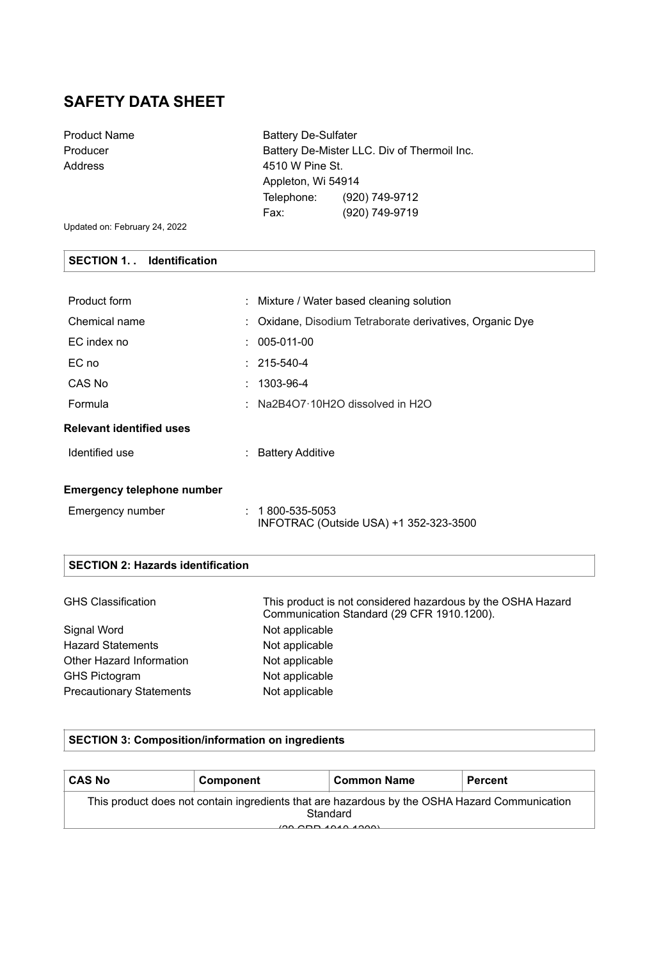# **SAFETY DATA SHEET**

| <b>Product Name</b> | <b>Battery De-Sulfater</b> |                                             |
|---------------------|----------------------------|---------------------------------------------|
| Producer            |                            | Battery De-Mister LLC. Div of Thermoil Inc. |
| Address             | 4510 W Pine St.            |                                             |
|                     | Appleton, Wi 54914         |                                             |
|                     | Telephone:                 | (920) 749-9712                              |
|                     | Fax:                       | (920) 749-9719                              |
|                     |                            |                                             |

Updated on: February 24, 2022

## **SECTION 1. . Identification**

| Product form                      | : Mixture / Water based cleaning solution                       |
|-----------------------------------|-----------------------------------------------------------------|
| Chemical name                     | : Oxidane, Disodium Tetraborate derivatives, Organic Dye        |
| EC index no                       | $: 005-011-00$                                                  |
| EC no                             | $: 215 - 540 - 4$                                               |
| CAS No                            | $: 1303 - 96 - 4$                                               |
| Formula                           | : Na2B4O7 $\cdot$ 10H2O dissolved in H2O                        |
| <b>Relevant identified uses</b>   |                                                                 |
| Identified use                    | : Battery Additive                                              |
| <b>Emergency telephone number</b> |                                                                 |
|                                   |                                                                 |
| Emergency number                  | $: 1800 - 535 - 5053$<br>INFOTRAC (Outside USA) +1 352-323-3500 |
|                                   |                                                                 |

## **SECTION 2: Hazards identification**

| <b>GHS Classification</b>       | This product is not considered hazardous by the OSHA Hazard<br>Communication Standard (29 CFR 1910.1200). |
|---------------------------------|-----------------------------------------------------------------------------------------------------------|
| Signal Word                     | Not applicable                                                                                            |
| <b>Hazard Statements</b>        | Not applicable                                                                                            |
| Other Hazard Information        | Not applicable                                                                                            |
| <b>GHS Pictogram</b>            | Not applicable                                                                                            |
| <b>Precautionary Statements</b> | Not applicable                                                                                            |

### **SECTION 3: Composition/information on ingredients**

| <b>CAS No</b>                                                                                                                                     | Component | <b>Common Name</b> | <b>Percent</b> |
|---------------------------------------------------------------------------------------------------------------------------------------------------|-----------|--------------------|----------------|
| This product does not contain ingredients that are hazardous by the OSHA Hazard Communication<br>Standard<br>$(00.000 \times 0.000 \times 0.000)$ |           |                    |                |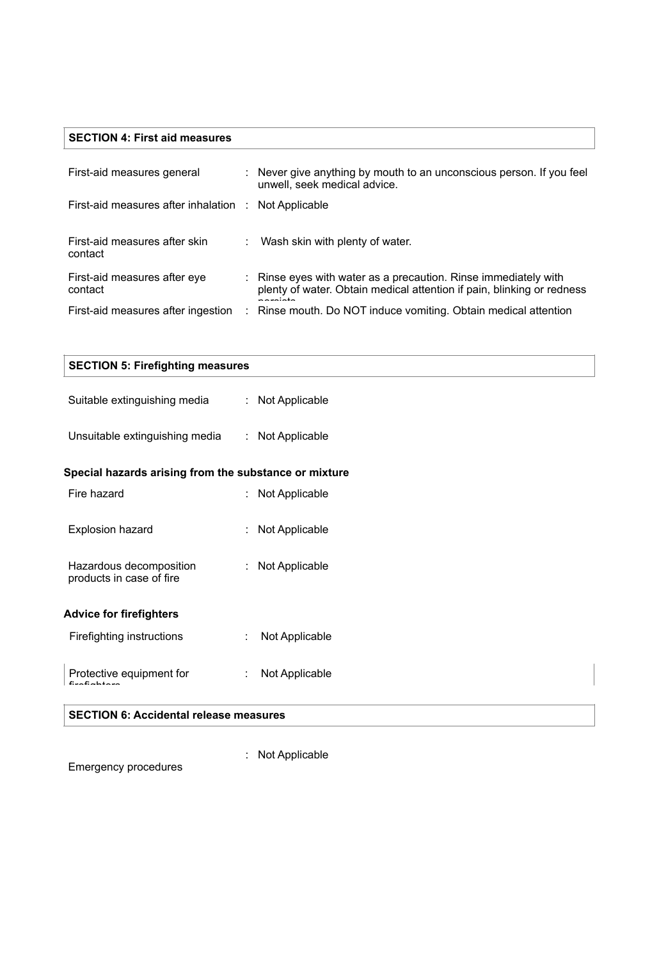## **SECTION 4: First aid measures**

| First-aid measures general                           | : Never give anything by mouth to an unconscious person. If you feel<br>unwell, seek medical advice.                                           |
|------------------------------------------------------|------------------------------------------------------------------------------------------------------------------------------------------------|
| First-aid measures after inhalation : Not Applicable |                                                                                                                                                |
| First-aid measures after skin<br>contact             | Wash skin with plenty of water.                                                                                                                |
| First-aid measures after eye<br>contact              | : Rinse eyes with water as a precaution. Rinse immediately with<br>plenty of water. Obtain medical attention if pain, blinking or redness<br>. |
| First-aid measures after ingestion                   | : Rinse mouth. Do NOT induce vomiting. Obtain medical attention                                                                                |

| <b>SECTION 5: Firefighting measures</b>               |                     |  |  |
|-------------------------------------------------------|---------------------|--|--|
| Suitable extinguishing media                          | : Not Applicable    |  |  |
| Unsuitable extinguishing media                        | : Not Applicable    |  |  |
| Special hazards arising from the substance or mixture |                     |  |  |
| Fire hazard                                           | : Not Applicable    |  |  |
| Explosion hazard                                      | : Not Applicable    |  |  |
| Hazardous decomposition<br>products in case of fire   | : Not Applicable    |  |  |
| <b>Advice for firefighters</b>                        |                     |  |  |
| Firefighting instructions                             | Not Applicable      |  |  |
| Protective equipment for                              | Not Applicable<br>÷ |  |  |
| <b>SECTION 6: Accidental release measures</b>         |                     |  |  |

#### **SECTION 6: Accidental release measures**

Emergency procedures

: Not Applicable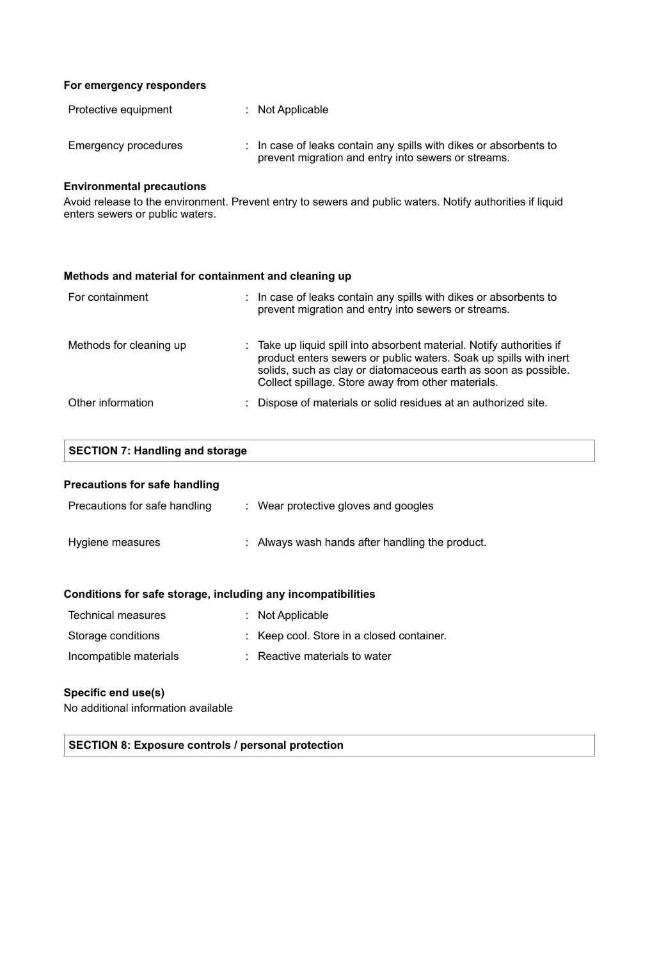#### **For emergency responders**

| Protective equipment | $:$ Not Applicable                                                                                                                  |
|----------------------|-------------------------------------------------------------------------------------------------------------------------------------|
| Emergency procedures | $\therefore$ In case of leaks contain any spills with dikes or absorbents to<br>prevent migration and entry into sewers or streams. |

### **Environmental precautions**

Avoid release to the environment. Prevent entry to sewers and public waters. Notify authorities if liquid enters sewers or public waters.

### **Methods and material for containment and cleaning up**

| For containment         | : In case of leaks contain any spills with dikes or absorbents to<br>prevent migration and entry into sewers or streams.                                                                                                                                            |
|-------------------------|---------------------------------------------------------------------------------------------------------------------------------------------------------------------------------------------------------------------------------------------------------------------|
| Methods for cleaning up | : Take up liquid spill into absorbent material. Notify authorities if<br>product enters sewers or public waters. Soak up spills with inert<br>solids, such as clay or diatomaceous earth as soon as possible.<br>Collect spillage. Store away from other materials. |
| Other information       | : Dispose of materials or solid residues at an authorized site.                                                                                                                                                                                                     |

| <b>SECTION 7: Handling and storage</b>                       |                                                 |  |  |  |
|--------------------------------------------------------------|-------------------------------------------------|--|--|--|
| <b>Precautions for safe handling</b>                         |                                                 |  |  |  |
| Precautions for safe handling                                | : Wear protective gloves and googles            |  |  |  |
| Hygiene measures                                             | : Always wash hands after handling the product. |  |  |  |
| Conditions for safe storage, including any incompatibilities |                                                 |  |  |  |
| <b>Technical measures</b>                                    | : Not Applicable                                |  |  |  |

| Storage conditions     | : Keep cool. Store in a closed container. |
|------------------------|-------------------------------------------|
| Incompatible materials | $\therefore$ Reactive materials to water  |

#### **Specific end use(s)**

No additional information available

**SECTION 8: Exposure controls / personal protection**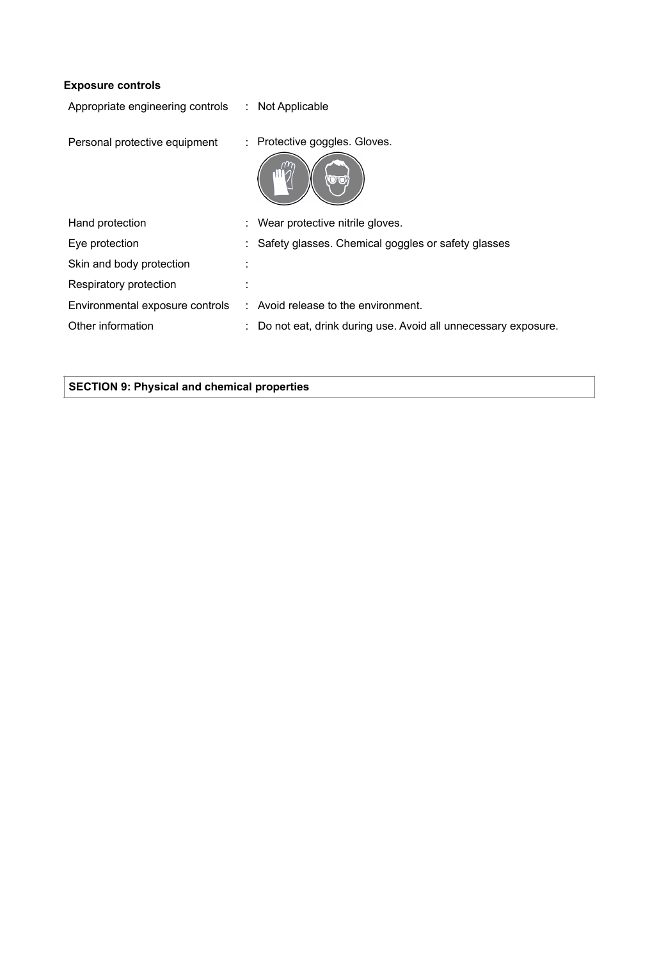| <b>Exposure controls</b> |  |
|--------------------------|--|
|--------------------------|--|

| Appropriate engineering controls | : Not Applicable                                              |
|----------------------------------|---------------------------------------------------------------|
| Personal protective equipment    | : Protective goggles. Gloves.<br><b>OTO</b>                   |
| Hand protection                  | Wear protective nitrile gloves.                               |
| Eye protection                   | Safety glasses. Chemical goggles or safety glasses            |
| Skin and body protection         |                                                               |
| Respiratory protection           |                                                               |
| Environmental exposure controls  | $:$ Avoid release to the environment.                         |
| Other information                | Do not eat, drink during use. Avoid all unnecessary exposure. |

## **SECTION 9: Physical and chemical properties**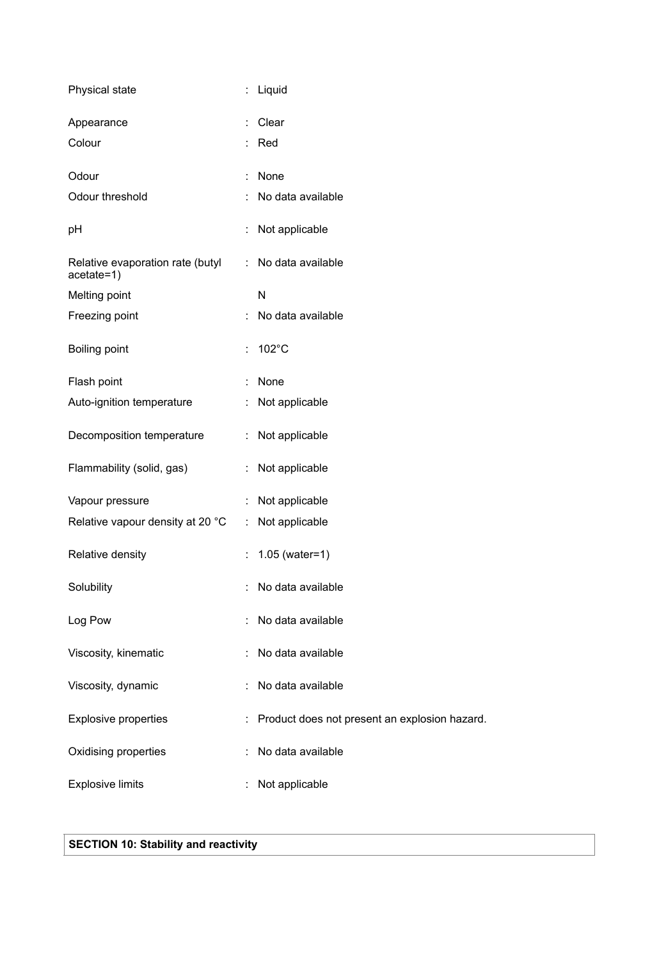| Physical state                                 | $\ddot{\phantom{a}}$ | Liquid                                        |
|------------------------------------------------|----------------------|-----------------------------------------------|
| Appearance                                     |                      | Clear                                         |
| Colour                                         |                      | Red                                           |
| Odour                                          | $\ddot{\phantom{a}}$ | None                                          |
| Odour threshold                                |                      | No data available                             |
| pH                                             | $\ddot{\cdot}$       | Not applicable                                |
| Relative evaporation rate (butyl<br>acetate=1) | ÷                    | No data available                             |
| Melting point                                  |                      | N                                             |
| Freezing point                                 |                      | No data available                             |
| <b>Boiling point</b>                           | $\ddot{\cdot}$       | 102°C                                         |
| Flash point                                    |                      | None                                          |
| Auto-ignition temperature                      |                      | Not applicable                                |
| Decomposition temperature                      | ÷                    | Not applicable                                |
| Flammability (solid, gas)                      | $\ddot{\cdot}$       | Not applicable                                |
| Vapour pressure                                |                      | Not applicable                                |
| Relative vapour density at 20 °C               | ÷                    | Not applicable                                |
| Relative density                               | $\ddot{\phantom{a}}$ | $1.05$ (water=1)                              |
| Solubility                                     |                      | No data available                             |
| Log Pow                                        |                      | No data available                             |
| Viscosity, kinematic                           |                      | No data available                             |
| Viscosity, dynamic                             |                      | No data available                             |
| <b>Explosive properties</b>                    |                      | Product does not present an explosion hazard. |
| Oxidising properties                           |                      | No data available                             |
| <b>Explosive limits</b>                        |                      | Not applicable                                |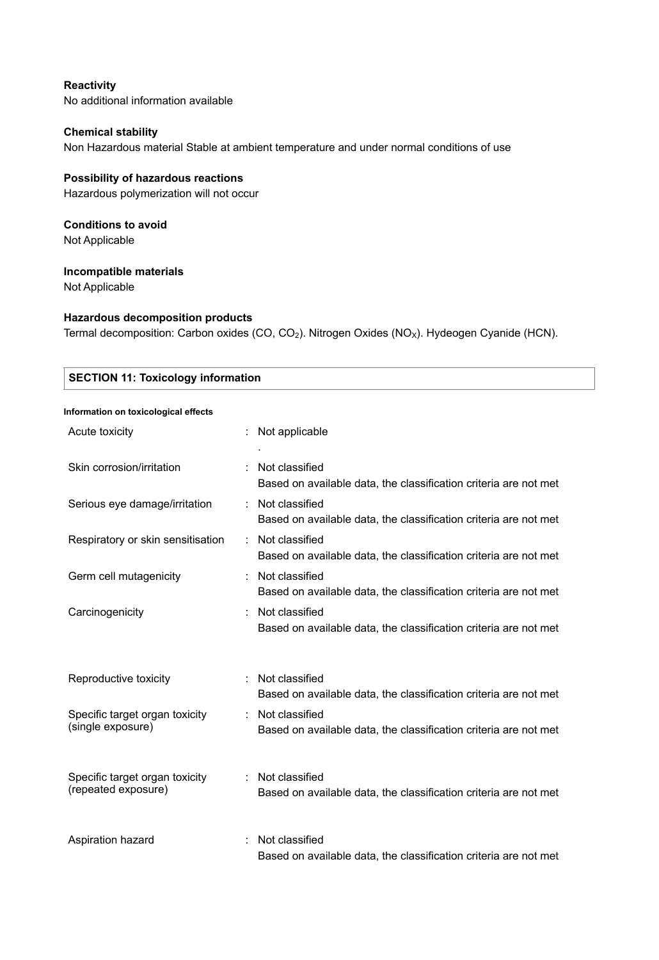### **Reactivity**

No additional information available

### **Chemical stability**

Non Hazardous material Stable at ambient temperature and under normal conditions of use

### **Possibility of hazardous reactions**

Hazardous polymerization will not occur

## **Conditions to avoid**

Not Applicable

### **Incompatible materials**

Not Applicable

### **Hazardous decomposition products**

Termal decomposition: Carbon oxides (CO, CO<sub>2</sub>). Nitrogen Oxides (NO<sub>X</sub>). Hydeogen Cyanide (HCN).

| <b>SECTION 11: Toxicology information</b>             |                                                                                    |  |
|-------------------------------------------------------|------------------------------------------------------------------------------------|--|
| Information on toxicological effects                  |                                                                                    |  |
| Acute toxicity                                        | Not applicable                                                                     |  |
| Skin corrosion/irritation                             | Not classified<br>Based on available data, the classification criteria are not met |  |
| Serious eye damage/irritation                         | Not classified<br>Based on available data, the classification criteria are not met |  |
| Respiratory or skin sensitisation                     | Not classified<br>Based on available data, the classification criteria are not met |  |
| Germ cell mutagenicity                                | Not classified<br>Based on available data, the classification criteria are not met |  |
| Carcinogenicity                                       | Not classified<br>Based on available data, the classification criteria are not met |  |
| Reproductive toxicity                                 | Not classified<br>Based on available data, the classification criteria are not met |  |
| Specific target organ toxicity<br>(single exposure)   | Not classified<br>Based on available data, the classification criteria are not met |  |
| Specific target organ toxicity<br>(repeated exposure) | Not classified<br>Based on available data, the classification criteria are not met |  |
| Aspiration hazard                                     | Not classified<br>Based on available data, the classification criteria are not met |  |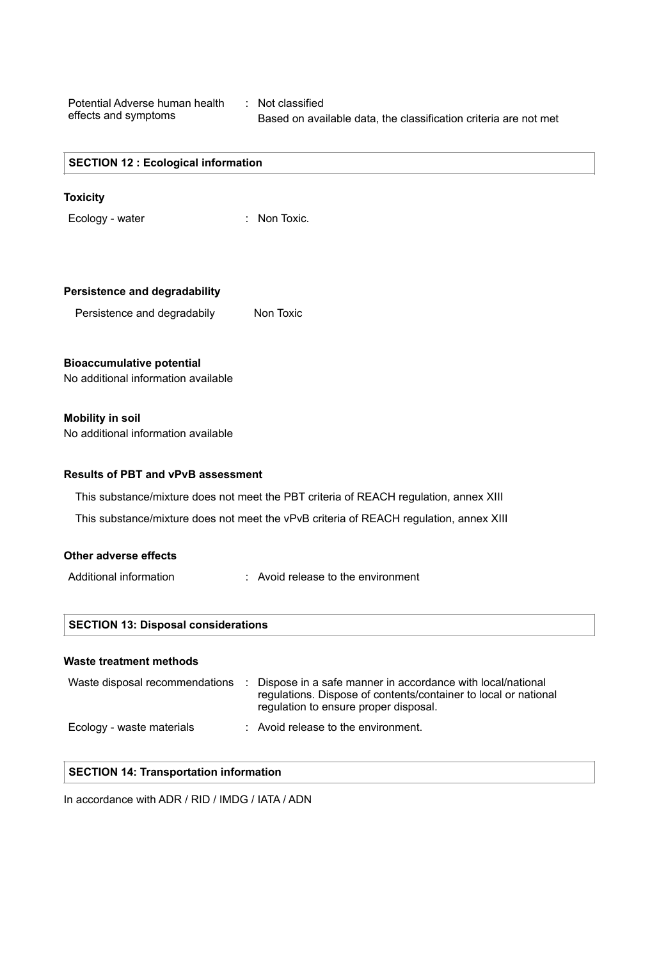Potential Adverse human health : Not classified effects and symptoms

Based on available data, the classification criteria are not met

#### **SECTION 12 : Ecological information**

#### **Toxicity**

Ecology - water : Non Toxic.

|  | <b>Persistence and degradability</b> |
|--|--------------------------------------|
|  |                                      |

Persistence and degradabily Non Toxic

#### **Bioaccumulative potential**

No additional information available

#### **Mobility in soil**

No additional information available

#### **Results of PBT and vPvB assessment**

This substance/mixture does not meet the PBT criteria of REACH regulation, annex XIII

This substance/mixture does not meet the vPvB criteria of REACH regulation, annex XIII

### **Other adverse effects**

- 
- Additional information : Avoid release to the environment

#### **Waste treatment methods**

| Waste disposal recommendations | Dispose in a safe manner in accordance with local/national<br>regulations. Dispose of contents/container to local or national<br>regulation to ensure proper disposal. |
|--------------------------------|------------------------------------------------------------------------------------------------------------------------------------------------------------------------|
| Ecology - waste materials      | : Avoid release to the environment.                                                                                                                                    |

#### **SECTION 14: Transportation information**

In accordance with ADR / RID / IMDG / IATA / ADN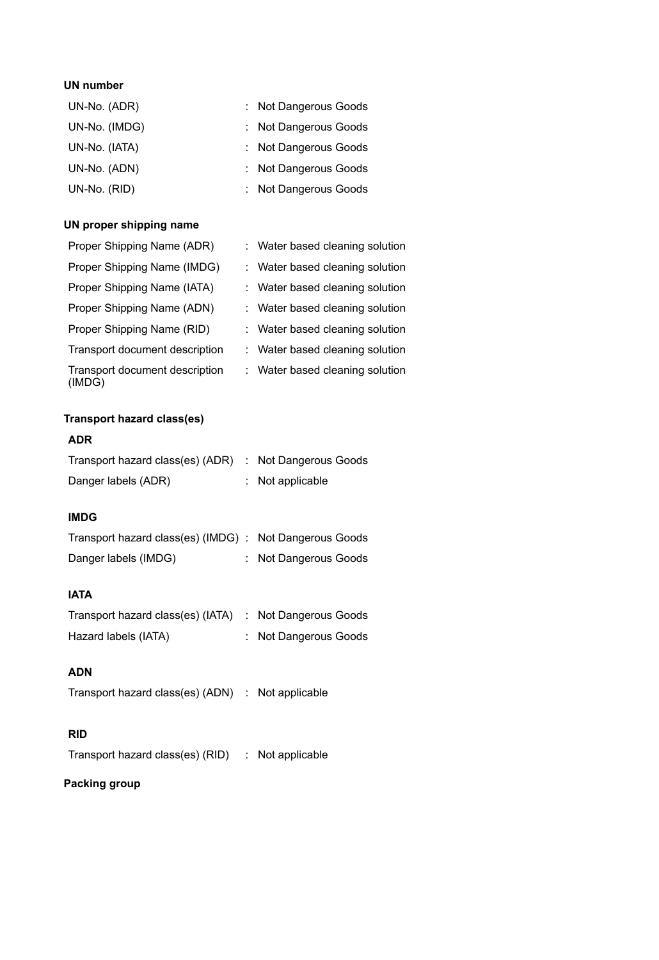### **UN number**

| UN-No. (ADR)  | : Not Dangerous Goods |
|---------------|-----------------------|
| UN-No. (IMDG) | : Not Dangerous Goods |
| UN-No. (IATA) | : Not Dangerous Goods |
| UN-No. (ADN)  | : Not Dangerous Goods |
| UN-No. (RID)  | : Not Dangerous Goods |

## **UN proper shipping name**

| Proper Shipping Name (ADR)               | : Water based cleaning solution |
|------------------------------------------|---------------------------------|
| Proper Shipping Name (IMDG)              | : Water based cleaning solution |
| Proper Shipping Name (IATA)              | : Water based cleaning solution |
| Proper Shipping Name (ADN)               | : Water based cleaning solution |
| Proper Shipping Name (RID)               | : Water based cleaning solution |
| Transport document description           | : Water based cleaning solution |
| Transport document description<br>(IMDG) | : Water based cleaning solution |

## **Transport hazard class(es)**

## **ADR**

| Transport hazard class(es) (ADR) : Not Dangerous Goods |                    |
|--------------------------------------------------------|--------------------|
| Danger labels (ADR)                                    | $:$ Not applicable |

## **IMDG**

| Transport hazard class(es) (IMDG) : Not Dangerous Goods |                       |
|---------------------------------------------------------|-----------------------|
| Danger labels (IMDG)                                    | : Not Dangerous Goods |

## **IATA**

| Transport hazard class(es) (IATA) : Not Dangerous Goods |                       |
|---------------------------------------------------------|-----------------------|
| Hazard labels (IATA)                                    | : Not Dangerous Goods |

## **ADN**

Transport hazard class(es) (ADN) : Not applicable

### **RID**

Transport hazard class(es) (RID) : Not applicable

### **Packing group**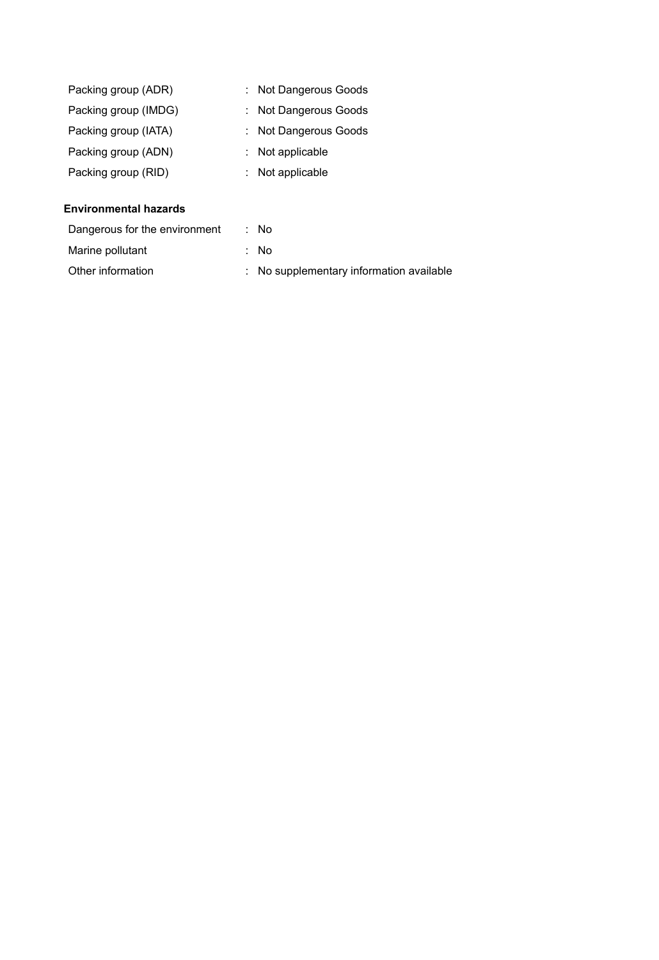| Packing group (ADR)  | : Not Dangerous Goods |
|----------------------|-----------------------|
| Packing group (IMDG) | : Not Dangerous Goods |
| Packing group (IATA) | : Not Dangerous Goods |
| Packing group (ADN)  | : Not applicable      |
| Packing group (RID)  | : Not applicable      |

### **Environmental hazards**

| Dangerous for the environment | : No                                     |
|-------------------------------|------------------------------------------|
| Marine pollutant              | : No                                     |
| Other information             | : No supplementary information available |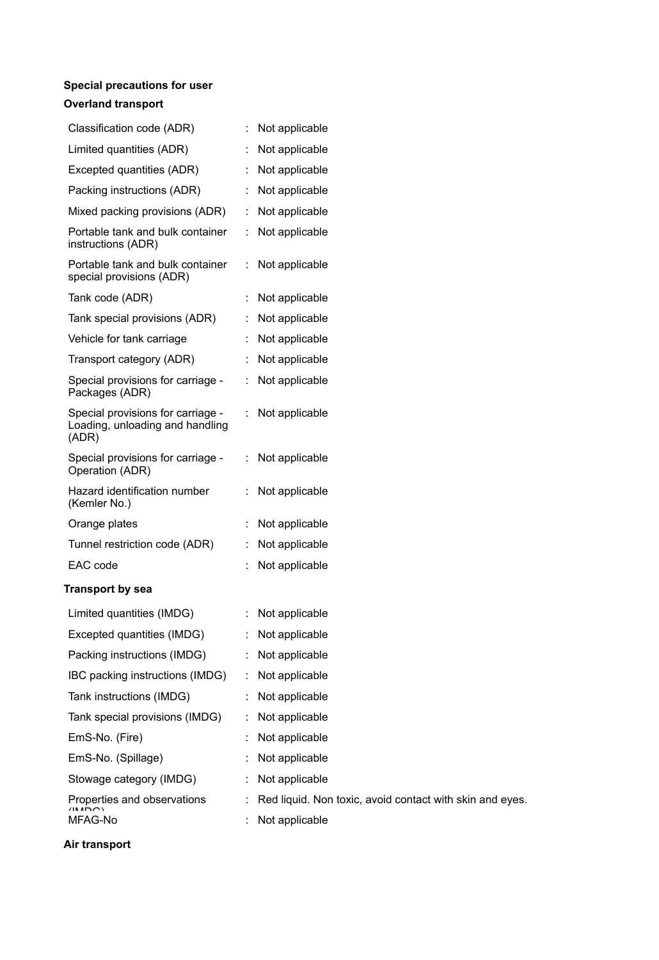## **Special precautions for user**

### **Overland transport**

| Classification code (ADR)                                                     | Not applicable                         |
|-------------------------------------------------------------------------------|----------------------------------------|
| Limited quantities (ADR)                                                      | Not applicable                         |
| Excepted quantities (ADR)                                                     | Not applicable<br>÷.                   |
| Packing instructions (ADR)                                                    | Not applicable<br>÷.                   |
| Mixed packing provisions (ADR)                                                | Not applicable<br>÷                    |
| Portable tank and bulk container<br>instructions (ADR)                        | Not applicable<br>÷                    |
| Portable tank and bulk container<br>special provisions (ADR)                  | Not applicable<br>t,                   |
| Tank code (ADR)                                                               | Not applicable                         |
| Tank special provisions (ADR)                                                 | Not applicable<br>÷                    |
| Vehicle for tank carriage                                                     | Not applicable<br>÷                    |
| Transport category (ADR)                                                      | Not applicable                         |
| Special provisions for carriage -<br>Packages (ADR)                           | $\ddot{\phantom{a}}$<br>Not applicable |
| Special provisions for carriage -<br>Loading, unloading and handling<br>(ADR) | Not applicable<br>÷.                   |
| Special provisions for carriage -<br>Operation (ADR)                          | Not applicable<br>÷                    |
| Hazard identification number<br>(Kemler No.)                                  | Not applicable<br>÷                    |
| Orange plates                                                                 | Not applicable                         |
| Tunnel restriction code (ADR)                                                 | Not applicable                         |
| EAC code                                                                      | Not applicable                         |
| <b>Transport by sea</b>                                                       |                                        |
| Limited quantities (IMDG)                                                     | : Not applicable                       |
| Excepted quantities (IMDG)                                                    | Not applicable<br>÷                    |
| Packing instructions (IMDG)                                                   | Not applicable                         |
| IBC packing instructions (IMDG)                                               | Not applicable                         |
| Tank instructions (IMDG)                                                      | Not applicable                         |
| Tank special provisions (IMDG)                                                | Not applicable                         |
|                                                                               |                                        |

| Tank special provisions (IMDG)         | $:$ Not applicable                                         |
|----------------------------------------|------------------------------------------------------------|
| EmS-No. (Fire)                         | Not applicable                                             |
| EmS-No. (Spillage)                     | $:$ Not applicable                                         |
| Stowage category (IMDG)                | : Not applicable                                           |
| Properties and observations<br>(11.45) | : Red liquid. Non toxic, avoid contact with skin and eyes. |
| .                                      |                                                            |

MFAG-No : Not applicable

## **Air transport**